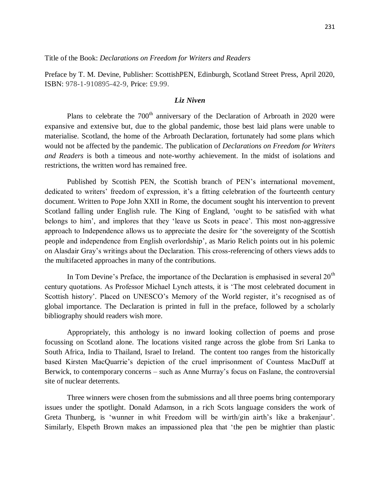Preface by T. M. Devine, Publisher: ScottishPEN, Edinburgh, Scotland Street Press, April 2020, ISBN: 978-1-910895-42-9, Price: £9.99.

## *Liz Niven*

Plans to celebrate the  $700<sup>th</sup>$  anniversary of the Declaration of Arbroath in 2020 were expansive and extensive but, due to the global pandemic, those best laid plans were unable to materialise. Scotland, the home of the Arbroath Declaration, fortunately had some plans which would not be affected by the pandemic. The publication of *Declarations on Freedom for Writers and Readers* is both a timeous and note-worthy achievement. In the midst of isolations and restrictions, the written word has remained free.

Published by Scottish PEN, the Scottish branch of PEN's international movement, dedicated to writers' freedom of expression, it's a fitting celebration of the fourteenth century document. Written to Pope John XXII in Rome, the document sought his intervention to prevent Scotland falling under English rule. The King of England, 'ought to be satisfied with what belongs to him', and implores that they 'leave us Scots in peace'*.* This most non-aggressive approach to Independence allows us to appreciate the desire for 'the sovereignty of the Scottish people and independence from English overlordship', as Mario Relich points out in his polemic on Alasdair Gray's writings about the Declaration. This cross-referencing of others views adds to the multifaceted approaches in many of the contributions.

In Tom Devine's Preface, the importance of the Declaration is emphasised in several  $20<sup>th</sup>$ century quotations. As Professor Michael Lynch attests, it is 'The most celebrated document in Scottish history'. Placed on UNESCO's Memory of the World register, it's recognised as of global importance. The Declaration is printed in full in the preface, followed by a scholarly bibliography should readers wish more.

Appropriately, this anthology is no inward looking collection of poems and prose focussing on Scotland alone. The locations visited range across the globe from Sri Lanka to South Africa, India to Thailand, Israel to Ireland. The content too ranges from the historically based Kirsten MacQuarrie's depiction of the cruel imprisonment of Countess MacDuff at Berwick, to contemporary concerns – such as Anne Murray's focus on Faslane, the controversial site of nuclear deterrents.

Three winners were chosen from the submissions and all three poems bring contemporary issues under the spotlight. Donald Adamson, in a rich Scots language considers the work of Greta Thunberg, is 'wunner in whit Freedom will be wirth/gin airth's like a brakenjaur'. Similarly, Elspeth Brown makes an impassioned plea that 'the pen be mightier than plastic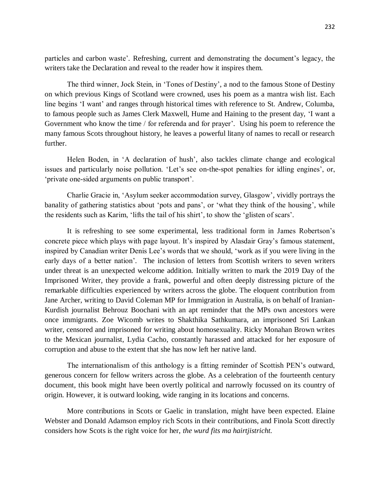particles and carbon waste'*.* Refreshing, current and demonstrating the document's legacy, the writers take the Declaration and reveal to the reader how it inspires them.

The third winner, Jock Stein, in 'Tones of Destiny', a nod to the famous Stone of Destiny on which previous Kings of Scotland were crowned, uses his poem as a mantra wish list. Each line begins 'I want' and ranges through historical times with reference to St. Andrew, Columba, to famous people such as James Clerk Maxwell, Hume and Haining to the present day, 'I want a Government who know the time / for referenda and for prayer'*.* Using his poem to reference the many famous Scots throughout history, he leaves a powerful litany of names to recall or research further.

Helen Boden, in 'A declaration of hush', also tackles climate change and ecological issues and particularly noise pollution. 'Let's see on-the-spot penalties for idling engines', or, 'private one-sided arguments on public transport'.

Charlie Gracie in, 'Asylum seeker accommodation survey, Glasgow', vividly portrays the banality of gathering statistics about 'pots and pans', or 'what they think of the housing', while the residents such as Karim, 'lifts the tail of his shirt'*,* to show the 'glisten of scars'.

It is refreshing to see some experimental, less traditional form in James Robertson's concrete piece which plays with page layout. It's inspired by Alasdair Gray's famous statement, inspired by Canadian writer Denis Lee's words that we should, 'work as if you were living in the early days of a better nation'*.* The inclusion of letters from Scottish writers to seven writers under threat is an unexpected welcome addition. Initially written to mark the 2019 Day of the Imprisoned Writer, they provide a frank, powerful and often deeply distressing picture of the remarkable difficulties experienced by writers across the globe. The eloquent contribution from Jane Archer, writing to David Coleman MP for Immigration in Australia, is on behalf of Iranian-Kurdish journalist Behrouz Boochani with an apt reminder that the MPs own ancestors were once immigrants. Zoe Wicomb writes to Shakthika Sathkumara, an imprisoned Sri Lankan writer, censored and imprisoned for writing about homosexuality. Ricky Monahan Brown writes to the Mexican journalist, Lydia Cacho, constantly harassed and attacked for her exposure of corruption and abuse to the extent that she has now left her native land.

The internationalism of this anthology is a fitting reminder of Scottish PEN's outward, generous concern for fellow writers across the globe. As a celebration of the fourteenth century document, this book might have been overtly political and narrowly focussed on its country of origin. However, it is outward looking, wide ranging in its locations and concerns.

More contributions in Scots or Gaelic in translation, might have been expected. Elaine Webster and Donald Adamson employ rich Scots in their contributions, and Finola Scott directly considers how Scots is the right voice for her, *the wurd fits ma hairtjistricht.*